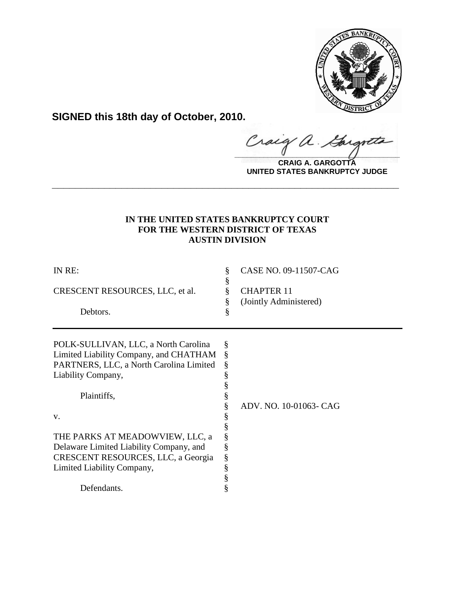

**SIGNED this 18th day of October, 2010.**

**\_\_\_\_\_\_\_\_\_\_\_\_\_\_\_\_\_\_\_\_\_\_\_\_\_\_\_\_\_\_\_\_\_\_\_\_\_\_\_\_** Gargote

**CRAIG A. GARGOTTA UNITED STATES BANKRUPTCY JUDGE**

# **IN THE UNITED STATES BANKRUPTCY COURT FOR THE WESTERN DISTRICT OF TEXAS AUSTIN DIVISION**

**\_\_\_\_\_\_\_\_\_\_\_\_\_\_\_\_\_\_\_\_\_\_\_\_\_\_\_\_\_\_\_\_\_\_\_\_\_\_\_\_\_\_\_\_\_\_\_\_\_\_\_\_\_\_\_\_\_\_\_\_**

| IN RE:                                  | §<br>§ | CASE NO. 09-11507-CAG  |
|-----------------------------------------|--------|------------------------|
| CRESCENT RESOURCES, LLC, et al.         | ş      | <b>CHAPTER 11</b>      |
|                                         | §      | (Jointly Administered) |
| Debtors.                                | §      |                        |
| POLK-SULLIVAN, LLC, a North Carolina    | §      |                        |
| Limited Liability Company, and CHATHAM  | ş      |                        |
| PARTNERS, LLC, a North Carolina Limited | §      |                        |
| Liability Company,                      |        |                        |
|                                         |        |                        |
| Plaintiffs,                             |        |                        |
|                                         |        | ADV. NO. 10-01063- CAG |
| V.                                      |        |                        |
|                                         |        |                        |
| THE PARKS AT MEADOWVIEW, LLC, a         |        |                        |
| Delaware Limited Liability Company, and |        |                        |
| CRESCENT RESOURCES, LLC, a Georgia      | §      |                        |
| Limited Liability Company,              | §      |                        |
|                                         |        |                        |
| Defendants.                             |        |                        |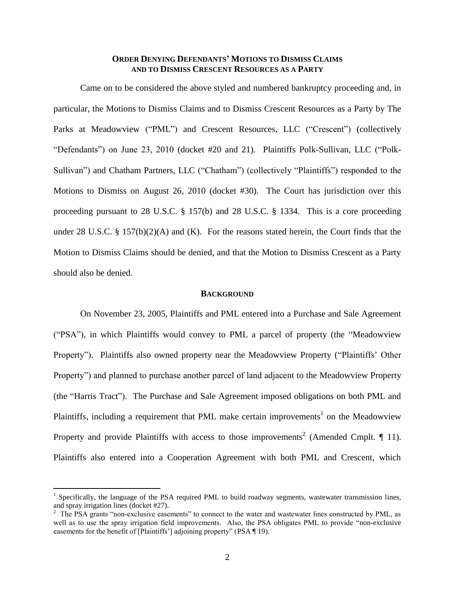# **ORDER DENYING DEFENDANTS' MOTIONS TO DISMISS CLAIMS AND TO DISMISS CRESCENT RESOURCES AS A PARTY**

Came on to be considered the above styled and numbered bankruptcy proceeding and, in particular, the Motions to Dismiss Claims and to Dismiss Crescent Resources as a Party by The Parks at Meadowview ("PML") and Crescent Resources, LLC ("Crescent") (collectively "Defendants") on June 23, 2010 (docket #20 and 21). Plaintiffs Polk-Sullivan, LLC ("Polk-Sullivan") and Chatham Partners, LLC ("Chatham") (collectively "Plaintiffs") responded to the Motions to Dismiss on August 26, 2010 (docket #30). The Court has jurisdiction over this proceeding pursuant to 28 U.S.C. § 157(b) and 28 U.S.C. § 1334. This is a core proceeding under 28 U.S.C. § 157(b)(2)(A) and (K). For the reasons stated herein, the Court finds that the Motion to Dismiss Claims should be denied, and that the Motion to Dismiss Crescent as a Party should also be denied.

#### **BACKGROUND**

On November 23, 2005, Plaintiffs and PML entered into a Purchase and Sale Agreement ("PSA"), in which Plaintiffs would convey to PML a parcel of property (the "Meadowview Property"). Plaintiffs also owned property near the Meadowview Property ("Plaintiffs" Other Property") and planned to purchase another parcel of land adjacent to the Meadowview Property (the "Harris Tract"). The Purchase and Sale Agreement imposed obligations on both PML and Plaintiffs, including a requirement that PML make certain improvements<sup>1</sup> on the Meadowview Property and provide Plaintiffs with access to those improvements<sup>2</sup> (Amended Cmplt.  $\P$  11). Plaintiffs also entered into a Cooperation Agreement with both PML and Crescent, which

 $\overline{a}$ 

<sup>&</sup>lt;sup>1</sup> Specifically, the language of the PSA required PML to build roadway segments, wastewater transmission lines, and spray irrigation lines (docket #27).

<sup>&</sup>lt;sup>2</sup> The PSA grants "non-exclusive easements" to connect to the water and wastewater lines constructed by PML, as well as to use the spray irrigation field improvements. Also, the PSA obligates PML to provide "non-exclusive easements for the benefit of [Plaintiffs'] adjoining property" (PSA ¶ 19).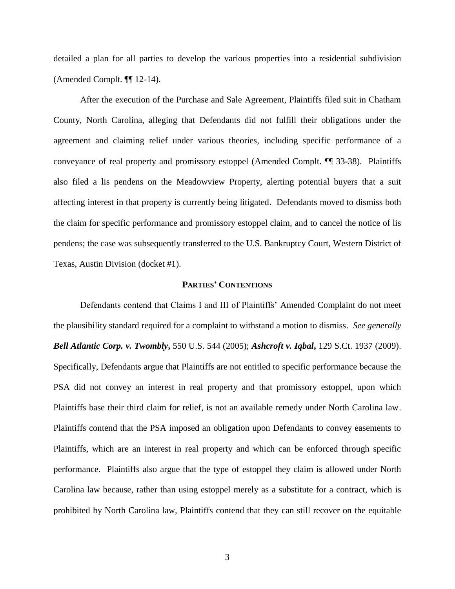detailed a plan for all parties to develop the various properties into a residential subdivision (Amended Complt. ¶¶ 12-14).

After the execution of the Purchase and Sale Agreement, Plaintiffs filed suit in Chatham County, North Carolina, alleging that Defendants did not fulfill their obligations under the agreement and claiming relief under various theories, including specific performance of a conveyance of real property and promissory estoppel (Amended Complt. ¶¶ 33-38). Plaintiffs also filed a lis pendens on the Meadowview Property, alerting potential buyers that a suit affecting interest in that property is currently being litigated. Defendants moved to dismiss both the claim for specific performance and promissory estoppel claim, and to cancel the notice of lis pendens; the case was subsequently transferred to the U.S. Bankruptcy Court, Western District of Texas, Austin Division (docket #1).

#### **PARTIES' CONTENTIONS**

Defendants contend that Claims I and III of Plaintiffs" Amended Complaint do not meet the plausibility standard required for a complaint to withstand a motion to dismiss. *See generally Bell Atlantic Corp. v. Twombly***,** 550 U.S. 544 (2005); *Ashcroft v. Iqbal***,** 129 S.Ct. 1937 (2009). Specifically, Defendants argue that Plaintiffs are not entitled to specific performance because the PSA did not convey an interest in real property and that promissory estoppel, upon which Plaintiffs base their third claim for relief, is not an available remedy under North Carolina law. Plaintiffs contend that the PSA imposed an obligation upon Defendants to convey easements to Plaintiffs, which are an interest in real property and which can be enforced through specific performance. Plaintiffs also argue that the type of estoppel they claim is allowed under North Carolina law because, rather than using estoppel merely as a substitute for a contract, which is prohibited by North Carolina law, Plaintiffs contend that they can still recover on the equitable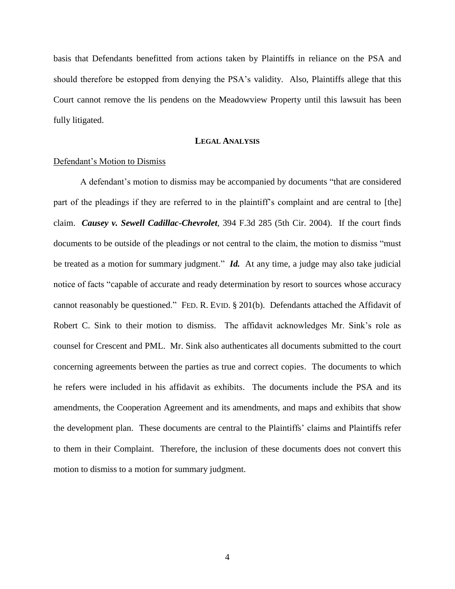basis that Defendants benefitted from actions taken by Plaintiffs in reliance on the PSA and should therefore be estopped from denying the PSA"s validity. Also, Plaintiffs allege that this Court cannot remove the lis pendens on the Meadowview Property until this lawsuit has been fully litigated.

# **LEGAL ANALYSIS**

## Defendant"s Motion to Dismiss

A defendant"s motion to dismiss may be accompanied by documents "that are considered part of the pleadings if they are referred to in the plaintiff"s complaint and are central to [the] claim. *Causey v. Sewell Cadillac-Chevrolet*, 394 F.3d 285 (5th Cir. 2004). If the court finds documents to be outside of the pleadings or not central to the claim, the motion to dismiss "must be treated as a motion for summary judgment." *Id.* At any time, a judge may also take judicial notice of facts "capable of accurate and ready determination by resort to sources whose accuracy cannot reasonably be questioned." FED. R. EVID. § 201(b). Defendants attached the Affidavit of Robert C. Sink to their motion to dismiss. The affidavit acknowledges Mr. Sink"s role as counsel for Crescent and PML. Mr. Sink also authenticates all documents submitted to the court concerning agreements between the parties as true and correct copies. The documents to which he refers were included in his affidavit as exhibits. The documents include the PSA and its amendments, the Cooperation Agreement and its amendments, and maps and exhibits that show the development plan. These documents are central to the Plaintiffs" claims and Plaintiffs refer to them in their Complaint. Therefore, the inclusion of these documents does not convert this motion to dismiss to a motion for summary judgment.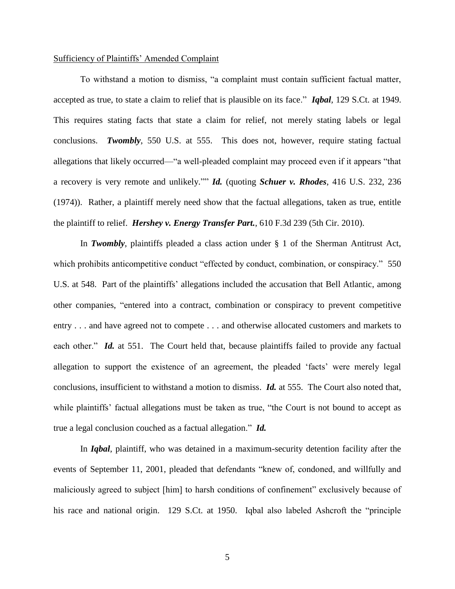## Sufficiency of Plaintiffs" Amended Complaint

To withstand a motion to dismiss, "a complaint must contain sufficient factual matter, accepted as true, to state a claim to relief that is plausible on its face." *Iqbal,* 129 S.Ct. at 1949. This requires stating facts that state a claim for relief, not merely stating labels or legal conclusions. *Twombly*, 550 U.S. at 555. This does not, however, require stating factual allegations that likely occurred—"a well-pleaded complaint may proceed even if it appears "that a recovery is very remote and unlikely."" *Id.* (quoting *Schuer v. Rhodes*, 416 U.S. 232, 236 (1974)). Rather, a plaintiff merely need show that the factual allegations, taken as true, entitle the plaintiff to relief. *Hershey v. Energy Transfer Part.*, 610 F.3d 239 (5th Cir. 2010).

In *Twombly*, plaintiffs pleaded a class action under § 1 of the Sherman Antitrust Act, which prohibits anticompetitive conduct "effected by conduct, combination, or conspiracy." 550 U.S. at 548. Part of the plaintiffs' allegations included the accusation that Bell Atlantic, among other companies, "entered into a contract, combination or conspiracy to prevent competitive entry . . . and have agreed not to compete . . . and otherwise allocated customers and markets to each other." *Id.* at 551. The Court held that, because plaintiffs failed to provide any factual allegation to support the existence of an agreement, the pleaded "facts" were merely legal conclusions, insufficient to withstand a motion to dismiss. *Id.* at 555. The Court also noted that, while plaintiffs' factual allegations must be taken as true, "the Court is not bound to accept as true a legal conclusion couched as a factual allegation." *Id.* 

In *Iqbal*, plaintiff, who was detained in a maximum-security detention facility after the events of September 11, 2001, pleaded that defendants "knew of, condoned, and willfully and maliciously agreed to subject [him] to harsh conditions of confinement" exclusively because of his race and national origin. 129 S.Ct. at 1950. Iqbal also labeled Ashcroft the "principle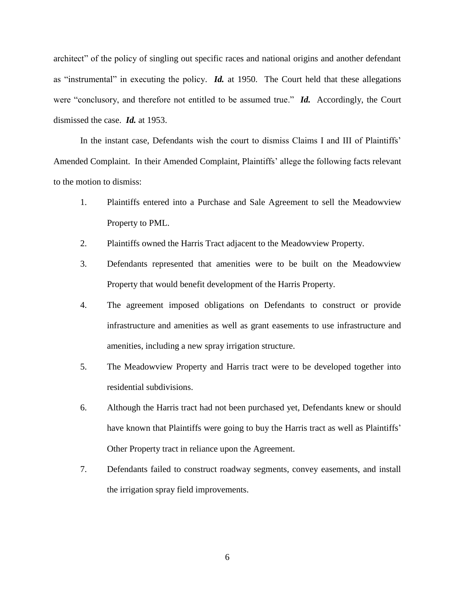architect" of the policy of singling out specific races and national origins and another defendant as "instrumental" in executing the policy. *Id.* at 1950. The Court held that these allegations were "conclusory, and therefore not entitled to be assumed true." *Id.* Accordingly, the Court dismissed the case. *Id.* at 1953.

In the instant case, Defendants wish the court to dismiss Claims I and III of Plaintiffs' Amended Complaint. In their Amended Complaint, Plaintiffs" allege the following facts relevant to the motion to dismiss:

- 1. Plaintiffs entered into a Purchase and Sale Agreement to sell the Meadowview Property to PML.
- 2. Plaintiffs owned the Harris Tract adjacent to the Meadowview Property.
- 3. Defendants represented that amenities were to be built on the Meadowview Property that would benefit development of the Harris Property.
- 4. The agreement imposed obligations on Defendants to construct or provide infrastructure and amenities as well as grant easements to use infrastructure and amenities, including a new spray irrigation structure.
- 5. The Meadowview Property and Harris tract were to be developed together into residential subdivisions.
- 6. Although the Harris tract had not been purchased yet, Defendants knew or should have known that Plaintiffs were going to buy the Harris tract as well as Plaintiffs' Other Property tract in reliance upon the Agreement.
- 7. Defendants failed to construct roadway segments, convey easements, and install the irrigation spray field improvements.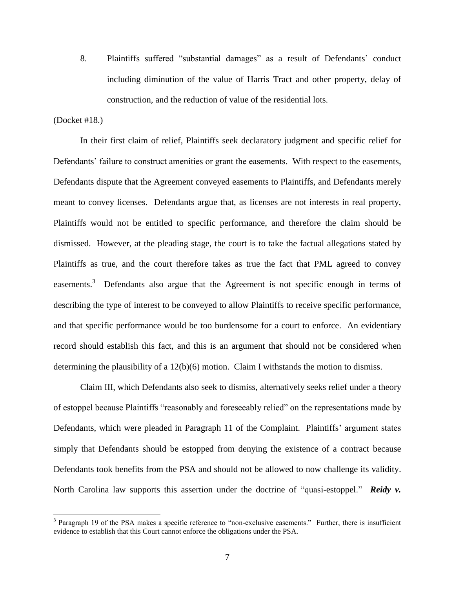8. Plaintiffs suffered "substantial damages" as a result of Defendants' conduct including diminution of the value of Harris Tract and other property, delay of construction, and the reduction of value of the residential lots.

# (Docket #18.)

 $\overline{a}$ 

In their first claim of relief, Plaintiffs seek declaratory judgment and specific relief for Defendants' failure to construct amenities or grant the easements. With respect to the easements, Defendants dispute that the Agreement conveyed easements to Plaintiffs, and Defendants merely meant to convey licenses. Defendants argue that, as licenses are not interests in real property, Plaintiffs would not be entitled to specific performance, and therefore the claim should be dismissed. However, at the pleading stage, the court is to take the factual allegations stated by Plaintiffs as true, and the court therefore takes as true the fact that PML agreed to convey easements.<sup>3</sup> Defendants also argue that the Agreement is not specific enough in terms of describing the type of interest to be conveyed to allow Plaintiffs to receive specific performance, and that specific performance would be too burdensome for a court to enforce. An evidentiary record should establish this fact, and this is an argument that should not be considered when determining the plausibility of a 12(b)(6) motion. Claim I withstands the motion to dismiss.

Claim III, which Defendants also seek to dismiss, alternatively seeks relief under a theory of estoppel because Plaintiffs "reasonably and foreseeably relied" on the representations made by Defendants, which were pleaded in Paragraph 11 of the Complaint. Plaintiffs' argument states simply that Defendants should be estopped from denying the existence of a contract because Defendants took benefits from the PSA and should not be allowed to now challenge its validity. North Carolina law supports this assertion under the doctrine of "quasi-estoppel." **Reidy v.** 

<sup>&</sup>lt;sup>3</sup> Paragraph 19 of the PSA makes a specific reference to "non-exclusive easements." Further, there is insufficient evidence to establish that this Court cannot enforce the obligations under the PSA.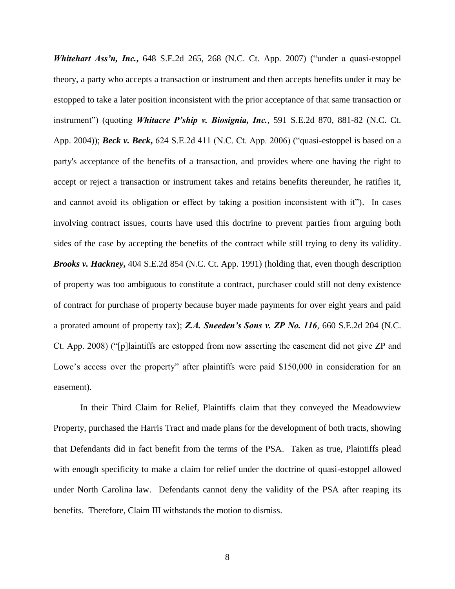*Whitehart Ass'n, Inc.***,** 648 S.E.2d 265, 268 (N.C. Ct. App. 2007) ("under a quasi-estoppel theory, a party who accepts a transaction or instrument and then accepts benefits under it may be estopped to take a later position inconsistent with the prior acceptance of that same transaction or instrument") (quoting *Whitacre P'ship v. Biosignia, Inc.*, 591 S.E.2d 870, 881-82 (N.C. Ct. App. 2004)); *Beck v. Beck*, 624 S.E.2d 411 (N.C. Ct. App. 2006) ("quasi-estoppel is based on a party's acceptance of the benefits of a transaction, and provides where one having the right to accept or reject a transaction or instrument takes and retains benefits thereunder, he ratifies it, and cannot avoid its obligation or effect by taking a position inconsistent with it"). In cases involving contract issues, courts have used this doctrine to prevent parties from arguing both sides of the case by accepting the benefits of the contract while still trying to deny its validity. *Brooks v. Hackney***,** 404 S.E.2d 854 (N.C. Ct. App. 1991) (holding that, even though description of property was too ambiguous to constitute a contract, purchaser could still not deny existence of contract for purchase of property because buyer made payments for over eight years and paid a prorated amount of property tax); *Z.A. Sneeden's Sons v. ZP No. 116*, 660 S.E.2d 204 (N.C. Ct. App. 2008) ("[p]laintiffs are estopped from now asserting the easement did not give ZP and Lowe's access over the property" after plaintiffs were paid \$150,000 in consideration for an easement).

In their Third Claim for Relief, Plaintiffs claim that they conveyed the Meadowview Property, purchased the Harris Tract and made plans for the development of both tracts, showing that Defendants did in fact benefit from the terms of the PSA. Taken as true, Plaintiffs plead with enough specificity to make a claim for relief under the doctrine of quasi-estoppel allowed under North Carolina law. Defendants cannot deny the validity of the PSA after reaping its benefits. Therefore, Claim III withstands the motion to dismiss.